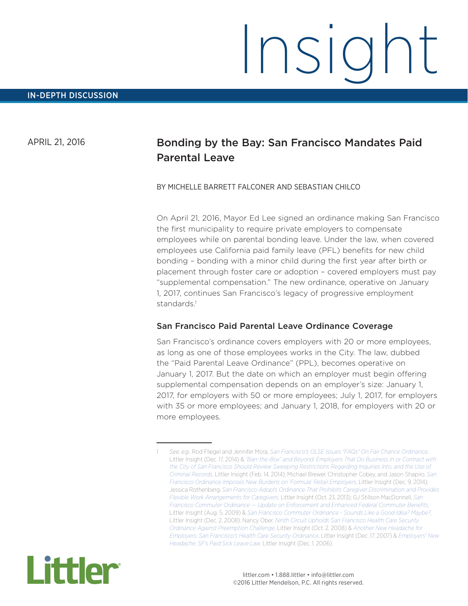# Insight

APRIL 21, 2016

# Bonding by the Bay: San Francisco Mandates Paid Parental Leave

## BY MICHELLE BARRETT FALCONER AND SEBASTIAN CHILCO

On April 21, 2016, Mayor Ed Lee signed an ordinance making San Francisco the first municipality to require private employers to compensate employees while on parental bonding leave. Under the law, when covered employees use California paid family leave (PFL) benefits for new child bonding – bonding with a minor child during the first year after birth or placement through foster care or adoption – covered employers must pay "supplemental compensation." The new ordinance, operative on January 1, 2017, continues San Francisco's legacy of progressive employment standards<sup>1</sup>

# San Francisco Paid Parental Leave Ordinance Coverage

San Francisco's ordinance covers employers with 20 or more employees, as long as one of those employees works in the City. The law, dubbed the "Paid Parental Leave Ordinance" (PPL), becomes operative on January 1, 2017. But the date on which an employer must begin offering supplemental compensation depends on an employer's size: January 1, 2017, for employers with 50 or more employees; July 1, 2017, for employers with 35 or more employees; and January 1, 2018, for employers with 20 or more employees.



<sup>1</sup> *See, e.g*., Rod Fliegel and Jennifer Mora, *[San Francisco's OLSE Issues "FAQs" On Fair Chance Ordinance](http://www.littler.com/san-franciscos-olse-issues-faqs-fair-chance-ordinance)*, Littler Insight (Dec. 17, 2014) & *["Ban-the-Box" and Beyond: Employers That Do Business In or Contract with](http://www.littler.com/%E2%80%9Cban-box%E2%80%9D-and-beyond-employers-do-business-or-contract-city-san-francisco-should-review-sweeping)  [the City of San Francisco Should Review Sweeping Restrictions Regarding Inquiries Into, and the Use of,](http://www.littler.com/%E2%80%9Cban-box%E2%80%9D-and-beyond-employers-do-business-or-contract-city-san-francisco-should-review-sweeping)  [Criminal Records](http://www.littler.com/%E2%80%9Cban-box%E2%80%9D-and-beyond-employers-do-business-or-contract-city-san-francisco-should-review-sweeping)*, Littler Insight (Feb. 14, 2014); Michael Brewer, Christopher Cobey, and Jason Shapiro, *[San](http://San Francisco Ordinance Imposes New Burdens on )  [Francisco Ordinance Imposes New Burdens on 'Formula' Retail Employers](http://San Francisco Ordinance Imposes New Burdens on )*, Littler Insight (Dec. 9, 2014); Jessica Rothenberg, *[San Francisco Adopts Ordinance That Prohibits Caregiver Discrimination and Provides](http://www.littler.com/san-francisco-adopts-ordinance-prohibits-caregiver-discrimination-and-provides-flexible-work)  [Flexible Work Arrangements for Caregivers](http://www.littler.com/san-francisco-adopts-ordinance-prohibits-caregiver-discrimination-and-provides-flexible-work)*, Littler Insight (Oct. 23, 2013); GJ Stillson MacDonnell, *[San](http://www.littler.com/san-francisco-commuter-ordinance-%E2%80%94-update-enforcement-and-enhanced-federal-commuter-benefits)  [Francisco Commuter Ordinance — Update on Enforcement and Enhanced Federal Commuter Benefits](http://www.littler.com/san-francisco-commuter-ordinance-%E2%80%94-update-enforcement-and-enhanced-federal-commuter-benefits)*, Littler Insight (Aug. 5, 2009) & *[San Francisco Commuter Ordinance - Sounds Like a Good Idea? Maybe?](http://www.littler.com/san-francisco-commuter-ordinance-sounds-good-idea-maybe)*, Littler Insight (Dec. 2, 2008); Nancy Ober, *[Ninth Circuit Upholds San Francisco Health Care Security](http://www.littler.com/ninth-circuit-upholds-san-francisco-health-care-security-ordinance-against-preemption-challenge)  [Ordinance Against Preemption Challenge](http://www.littler.com/ninth-circuit-upholds-san-francisco-health-care-security-ordinance-against-preemption-challenge)*, Littler Insight (Oct. 2, 2008) & *[Another New Headache for](http://www.littler.com/another-new-headache-employers-san-franciscos-health-care-security-ordinance)  [Employers: San Francisco's Health Care Security Ordinance](http://www.littler.com/another-new-headache-employers-san-franciscos-health-care-security-ordinance)*, Littler Insight (Dec. 17, 2007) & *[Employers' New](http://www.littler.com/employers-new-headache-sfs-paid-sick-leave-law)  [Headache: SF's Paid Sick Leave Law](http://www.littler.com/employers-new-headache-sfs-paid-sick-leave-law)*, Littler Insight (Dec. 1, 2006).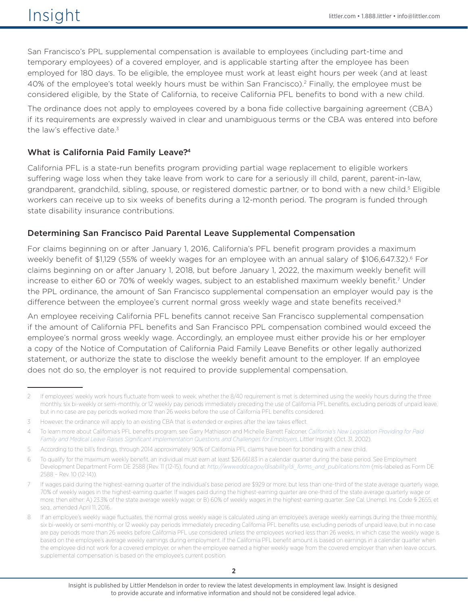San Francisco's PPL supplemental compensation is available to employees (including part-time and temporary employees) of a covered employer, and is applicable starting after the employee has been employed for 180 days. To be eligible, the employee must work at least eight hours per week (and at least 40% of the employee's total weekly hours must be within San Francisco).2 Finally, the employee must be considered eligible, by the State of California, to receive California PFL benefits to bond with a new child.

The ordinance does not apply to employees covered by a bona fide collective bargaining agreement (CBA) if its requirements are expressly waived in clear and unambiguous terms or the CBA was entered into before the law's effective date.<sup>3</sup>

# What is California Paid Family Leave?4

California PFL is a state-run benefits program providing partial wage replacement to eligible workers suffering wage loss when they take leave from work to care for a seriously ill child, parent, parent-in-law, grandparent, grandchild, sibling, spouse, or registered domestic partner, or to bond with a new child.<sup>5</sup> Eligible workers can receive up to six weeks of benefits during a 12-month period. The program is funded through state disability insurance contributions.

# Determining San Francisco Paid Parental Leave Supplemental Compensation

For claims beginning on or after January 1, 2016, California's PFL benefit program provides a maximum weekly benefit of \$1,129 (55% of weekly wages for an employee with an annual salary of \$106,647.32).<sup>6</sup> For claims beginning on or after January 1, 2018, but before January 1, 2022, the maximum weekly benefit will increase to either 60 or 70% of weekly wages, subject to an established maximum weekly benefit.7 Under the PPL ordinance, the amount of San Francisco supplemental compensation an employer would pay is the difference between the employee's current normal gross weekly wage and state benefits received.<sup>8</sup>

An employee receiving California PFL benefits cannot receive San Francisco supplemental compensation if the amount of California PFL benefits and San Francisco PPL compensation combined would exceed the employee's normal gross weekly wage. Accordingly, an employee must either provide his or her employer a copy of the Notice of Computation of California Paid Family Leave Benefits or other legally authorized statement, or authorize the state to disclose the weekly benefit amount to the employer. If an employee does not do so, the employer is not required to provide supplemental compensation.

<sup>2</sup> If employees' weekly work hours fluctuate from week to week, whether the 8/40 requirement is met is determined using the weekly hours during the three monthly, six bi-weekly or semi-monthly, or 12 weekly pay periods immediately preceding the use of California PFL benefits, excluding periods of unpaid leave, but in no case are pay periods worked more than 26 weeks before the use of California PFL benefits considered.

<sup>3</sup> However, the ordinance will apply to an existing CBA that is extended or expires after the law takes effect.

<sup>4</sup> To learn more about California's PFL benefits program, see Garry Mathiason and Michelle Barrett Falconer, *[California's New Legislation Providing for Paid](http://www.littler.com/californias-new-legislation-providing-paid-family-and-medical-leave-raises-significant)  [Family and Medical Leave Raises Significant Implementation Questions and Challenges for Employers](http://www.littler.com/californias-new-legislation-providing-paid-family-and-medical-leave-raises-significant)*, Littler Insight (Oct. 31, 2002).

<sup>5</sup> According to the bill's findings, through 2014 approximately 90% of California PFL claims have been for bonding with a new child.

<sup>6</sup> To qualify for the maximum weekly benefit, an individual must earn at least \$26,661.83 in a calendar quarter during the base period. See Employment Development Department Form DE 2588 (Rev. 11 (12-15), found at: *[http://www.edd.ca.gov/disability/di\\_forms\\_and\\_publications.htm](http://www.edd.ca.gov/disability/di_forms_and_publications.htm)* (mis-labeled as Form DE 2588 – Rev. 10 (12-14)).

If wages paid during the highest-earning quarter of the individual's base period are \$929 or more, but less than one-third of the state average quarterly wage, 70% of weekly wages in the highest-earning quarter. If wages paid during the highest-earning quarter are one-third of the state average quarterly wage or more, then either: A) 23.3% of the state average weekly wage; or B) 60% of weekly wages in the highest-earning quarter. *See* Cal. Unempl. Ins. Code § 2655, et seq., amended April 11, 2016.

<sup>8</sup> If an employee's weekly wage fluctuates, the normal gross weekly wage is calculated using an employee's average weekly earnings during the three monthly, six bi-weekly or semi-monthly, or 12 weekly pay periods immediately preceding California PFL benefits use, excluding periods of unpaid leave, but in no case are pay periods more than 26 weeks before California PFL use considered unless the employees worked less than 26 weeks, in which case the weekly wage is based on the employee's average weekly earnings during employment. If the California PFL benefit amount is based on earnings in a calendar quarter when the employee did not work for a covered employer, or when the employee earned a higher weekly wage from the covered employer than when leave occurs, supplemental compensation is based on the employee's current position.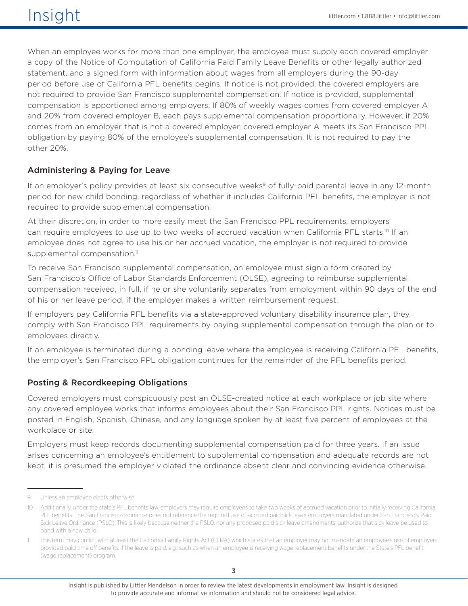When an employee works for more than one employer, the employee must supply each covered employer a copy of the Notice of Computation of California Paid Family Leave Benefits or other legally authorized statement, and a signed form with information about wages from all employers during the 90-day period before use of California PFL benefits begins. If notice is not provided, the covered employers are not required to provide San Francisco supplemental compensation. If notice is provided, supplemental compensation is apportioned among employers. If 80% of weekly wages comes from covered employer A and 20% from covered employer B, each pays supplemental compensation proportionally. However, if 20% comes from an employer that is not a covered employer, covered employer A meets its San Francisco PPL obligation by paying 80% of the employee's supplemental compensation. It is not required to pay the other 20%.

# Administering & Paying for Leave

If an employer's policy provides at least six consecutive weeks<sup>9</sup> of fully-paid parental leave in any 12-month period for new child bonding, regardless of whether it includes California PFL benefits, the employer is not required to provide supplemental compensation.

At their discretion, in order to more easily meet the San Francisco PPL requirements, employers can require employees to use up to two weeks of accrued vacation when California PFL starts.<sup>10</sup> If an employee does not agree to use his or her accrued vacation, the employer is not required to provide supplemental compensation.<sup>11</sup>

To receive San Francisco supplemental compensation, an employee must sign a form created by San Francisco's Office of Labor Standards Enforcement (OLSE), agreeing to reimburse supplemental compensation received, in full, if he or she voluntarily separates from employment within 90 days of the end of his or her leave period, if the employer makes a written reimbursement request.

If employers pay California PFL benefits via a state-approved voluntary disability insurance plan, they comply with San Francisco PPL requirements by paying supplemental compensation through the plan or to employees directly.

If an employee is terminated during a bonding leave where the employee is receiving California PFL benefits, the employer's San Francisco PPL obligation continues for the remainder of the PFL benefits period.

# Posting & Recordkeeping Obligations

Covered employers must conspicuously post an OLSE-created notice at each workplace or job site where any covered employee works that informs employees about their San Francisco PPL rights. Notices must be posted in English, Spanish, Chinese, and any language spoken by at least five percent of employees at the workplace or site.

Employers must keep records documenting supplemental compensation paid for three years. If an issue arises concerning an employee's entitlement to supplemental compensation and adequate records are not kept, it is presumed the employer violated the ordinance absent clear and convincing evidence otherwise.

<sup>9</sup> Unless an employee elects otherwise.

<sup>10</sup> Additionally, under the state's PFL benefits law, employers may require employees to take two weeks of accrued vacation prior to initially receiving California PFL benefits. The San Francisco ordinance does not reference the required use of accrued paid sick leave employers mandated under San Francisco's Paid Sick Leave Ordinance (PSLO). This is likely because neither the PSLO, nor any proposed paid sick leave amendments, authorize that sick leave be used to bond with a new child.

<sup>11</sup> This term may conflict with at least the California Family Rights Act (CFRA) which states that an employer may not mandate an employee's use of employerprovided paid time off benefits if the leave is paid, e.g., such as when an employee is receiving wage replacement benefits under the State's PFL benefit (wage replacement) program.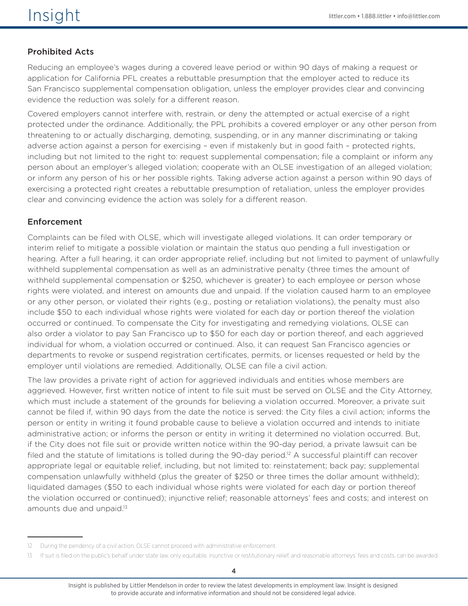# Prohibited Acts

Reducing an employee's wages during a covered leave period or within 90 days of making a request or application for California PFL creates a rebuttable presumption that the employer acted to reduce its San Francisco supplemental compensation obligation, unless the employer provides clear and convincing evidence the reduction was solely for a different reason.

Covered employers cannot interfere with, restrain, or deny the attempted or actual exercise of a right protected under the ordinance. Additionally, the PPL prohibits a covered employer or any other person from threatening to or actually discharging, demoting, suspending, or in any manner discriminating or taking adverse action against a person for exercising – even if mistakenly but in good faith – protected rights, including but not limited to the right to: request supplemental compensation; file a complaint or inform any person about an employer's alleged violation; cooperate with an OLSE investigation of an alleged violation; or inform any person of his or her possible rights. Taking adverse action against a person within 90 days of exercising a protected right creates a rebuttable presumption of retaliation, unless the employer provides clear and convincing evidence the action was solely for a different reason.

# Enforcement

Complaints can be filed with OLSE, which will investigate alleged violations. It can order temporary or interim relief to mitigate a possible violation or maintain the status quo pending a full investigation or hearing. After a full hearing, it can order appropriate relief, including but not limited to payment of unlawfully withheld supplemental compensation as well as an administrative penalty (three times the amount of withheld supplemental compensation or \$250, whichever is greater) to each employee or person whose rights were violated, and interest on amounts due and unpaid. If the violation caused harm to an employee or any other person, or violated their rights (e.g., posting or retaliation violations), the penalty must also include \$50 to each individual whose rights were violated for each day or portion thereof the violation occurred or continued. To compensate the City for investigating and remedying violations, OLSE can also order a violator to pay San Francisco up to \$50 for each day or portion thereof, and each aggrieved individual for whom, a violation occurred or continued. Also, it can request San Francisco agencies or departments to revoke or suspend registration certificates, permits, or licenses requested or held by the employer until violations are remedied. Additionally, OLSE can file a civil action.

The law provides a private right of action for aggrieved individuals and entities whose members are aggrieved. However, first written notice of intent to file suit must be served on OLSE and the City Attorney, which must include a statement of the grounds for believing a violation occurred. Moreover, a private suit cannot be filed if, within 90 days from the date the notice is served: the City files a civil action; informs the person or entity in writing it found probable cause to believe a violation occurred and intends to initiate administrative action; or informs the person or entity in writing it determined no violation occurred. But, if the City does not file suit or provide written notice within the 90-day period, a private lawsuit can be filed and the statute of limitations is tolled during the 90-day period.<sup>12</sup> A successful plaintiff can recover appropriate legal or equitable relief, including, but not limited to: reinstatement; back pay; supplemental compensation unlawfully withheld (plus the greater of \$250 or three times the dollar amount withheld); liquidated damages (\$50 to each individual whose rights were violated for each day or portion thereof the violation occurred or continued); injunctive relief; reasonable attorneys' fees and costs; and interest on amounts due and unpaid.<sup>13</sup>

<sup>12</sup> During the pendency of a civil action, OLSE cannot proceed with administrative enforcement.

<sup>13</sup> If suit is filed on the public's behalf under state law, only equitable, injunctive or restitutionary relief, and reasonable attorneys' fees and costs, can be awarded.